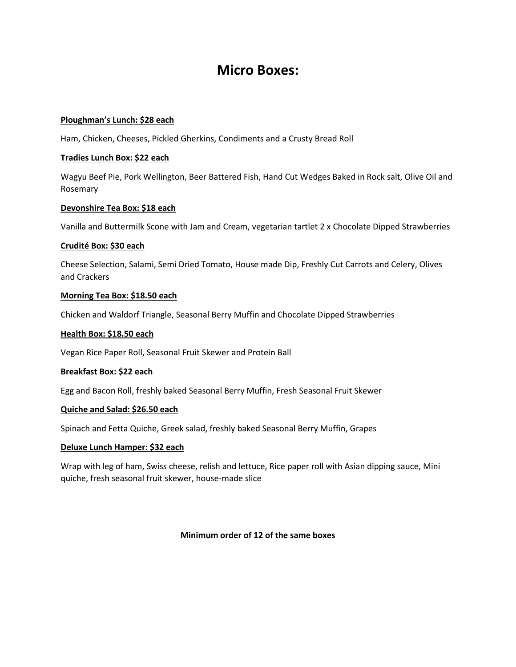# **Micro Boxes:**

# **Ploughman's Lunch: \$28 each**

Ham, Chicken, Cheeses, Pickled Gherkins, Condiments and a Crusty Bread Roll

# **Tradies Lunch Box: \$22 each**

Wagyu Beef Pie, Pork Wellington, Beer Battered Fish, Hand Cut Wedges Baked in Rock salt, Olive Oil and Rosemary

# **Devonshire Tea Box: \$18 each**

Vanilla and Buttermilk Scone with Jam and Cream, vegetarian tartlet 2 x Chocolate Dipped Strawberries

# **Crudité Box: \$30 each**

Cheese Selection, Salami, Semi Dried Tomato, House made Dip, Freshly Cut Carrots and Celery, Olives and Crackers

# **Morning Tea Box: \$18.50 each**

Chicken and Waldorf Triangle, Seasonal Berry Muffin and Chocolate Dipped Strawberries

# **Health Box: \$18.50 each**

Vegan Rice Paper Roll, Seasonal Fruit Skewer and Protein Ball

# **Breakfast Box: \$22 each**

Egg and Bacon Roll, freshly baked Seasonal Berry Muffin, Fresh Seasonal Fruit Skewer

# **Quiche and Salad: \$26.50 each**

Spinach and Fetta Quiche, Greek salad, freshly baked Seasonal Berry Muffin, Grapes

# **Deluxe Lunch Hamper: \$32 each**

Wrap with leg of ham, Swiss cheese, relish and lettuce, Rice paper roll with Asian dipping sauce, Mini quiche, fresh seasonal fruit skewer, house-made slice

# **Minimum order of 12 of the same boxes**